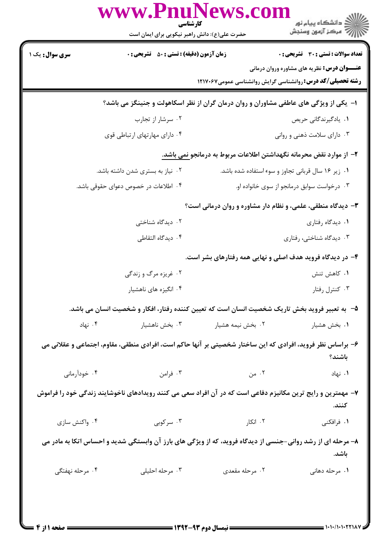|                        | حضرت علی(ع): دانش راهبر نیکویی برای ایمان است                       | www.PnuNews.com<br>كارشناسي                                                                                 | ڪ دانشڪاه پيام نور<br>ر∕⊂ مرڪز آزمون وسنڊش                                                                                                                              |  |  |  |
|------------------------|---------------------------------------------------------------------|-------------------------------------------------------------------------------------------------------------|-------------------------------------------------------------------------------------------------------------------------------------------------------------------------|--|--|--|
| <b>سری سوال :</b> یک ۱ | <b>زمان آزمون (دقیقه) : تستی : 50 ٪ تشریحی : 0</b>                  |                                                                                                             | <b>تعداد سوالات : تستی : 30 ٪ تشریحی : 0</b><br><b>عنـــوان درس:</b> نظریه های مشاوره وروان درمانی<br><b>رشته تحصیلی/کد درس: روانشناسی گرایش روانشناسی عمومی1۲۱۷۰۶۷</b> |  |  |  |
|                        |                                                                     | ا– یکی از ویژگی های عاطفی مشاوران و روان درمان گران از نظر اسکاهولت و جنینگز می باشد؟                       |                                                                                                                                                                         |  |  |  |
|                        | ۰۲ سرشار از تجارب                                                   |                                                                                                             | ۰۱ يادگيرندگاني حريص                                                                                                                                                    |  |  |  |
|                        | ۰۴ دارای مهارتهای ارتباطی قوی                                       |                                                                                                             | ۰۳ دارای سلامت ذهنی و روانی                                                                                                                                             |  |  |  |
|                        | ۲– از موارد نقض محرمانه نگهداشتن اطلاعات مربوط به درمانجو نمی باشد. |                                                                                                             |                                                                                                                                                                         |  |  |  |
|                        | ۰۲ نیاز به بستری شدن داشته باشد.                                    |                                                                                                             | ٠١ زير ١۶ سال قرباني تجاوز و سوء استفاده شده باشد.                                                                                                                      |  |  |  |
|                        | ۰۴ اطلاعات در خصوص دعوای حقوقی باشد.                                | ۰۳ درخواست سوابق درمانجو از سوی خانواده او.                                                                 |                                                                                                                                                                         |  |  |  |
|                        |                                                                     | ۰۳ دیدگاه منطقی، علمی، و نظام دار مشاوره و روان درمانی است؟                                                 |                                                                                                                                                                         |  |  |  |
|                        | ۲. دیدگاه شناختی                                                    |                                                                                                             | ۰۱ دیدگاه رفتاری                                                                                                                                                        |  |  |  |
|                        | ۰۴ دیدگاه التقاطی                                                   |                                                                                                             | ۰۳ دیدگاه شناختی، رفتاری                                                                                                                                                |  |  |  |
|                        |                                                                     | ۴- در دیدگاه فروید هدف اصلی و نهایی همه رفتارهای بشر است.                                                   |                                                                                                                                                                         |  |  |  |
|                        | ۰۲ غریزه مرگ و زندگی                                                |                                                                                                             | ۰۱ کاهش تنش                                                                                                                                                             |  |  |  |
|                        | ۰۴ انگیزه های ناهشیار                                               |                                                                                                             | ۰۳ کنترل رفتار                                                                                                                                                          |  |  |  |
|                        |                                                                     | ۵−۔ به تعبیر فروید بخش تاریک شخصیت انسان است که تعیین کننده رفتار، افکار و شخصیت انسان می باشد.             |                                                                                                                                                                         |  |  |  |
| ۰۴ نهاد                |                                                                     | ۰۲ بخش نیمه هشیار مسمسی به سخش ناهشیار                                                                      | ۰۱ بخش هشیار                                                                                                                                                            |  |  |  |
|                        |                                                                     |                                                                                                             |                                                                                                                                                                         |  |  |  |
|                        |                                                                     | ۶- براساس نظر فروید، افرادی که این ساختار شخصیتی بر آنها حاکم است، افرادی منطقی، مقاوم، اجتماعی و عقلانی می | باشند؟                                                                                                                                                                  |  |  |  |
| ۰۴ خودآرمانی           |                                                                     | ۲. من است است است و به این منابع است است است که است که است که است که است که است که است که است که است        | ۰۱ نهاد                                                                                                                                                                 |  |  |  |
|                        |                                                                     | ۷– مهمترین و رایج ترین مکانیزم دفاعی است که در آن افراد سعی می کنند رویدادهای ناخوشایند زندگی خود را فراموش |                                                                                                                                                                         |  |  |  |
|                        |                                                                     |                                                                                                             | كنند.                                                                                                                                                                   |  |  |  |
| ۰۴ واکنش سازی          | ۰۳ سرکوبی                                                           | ۰۲ انکار                                                                                                    | ۰۱ فرافکنی                                                                                                                                                              |  |  |  |
|                        |                                                                     | ۸– مرحله ای از رشد روانی-جنسی از دیدگاه فروید، که از ویژگی های بارز آن وابستگی شدید و احساس اتکا به مادر می | باشد.                                                                                                                                                                   |  |  |  |
| ۰۴ مرحله نهفتگی        | ۰۳ مرحله احلیلی                                                     | ۰۲ مرحله مقعدي                                                                                              | <b>۱</b> .  مرحله دهانی                                                                                                                                                 |  |  |  |
|                        |                                                                     |                                                                                                             |                                                                                                                                                                         |  |  |  |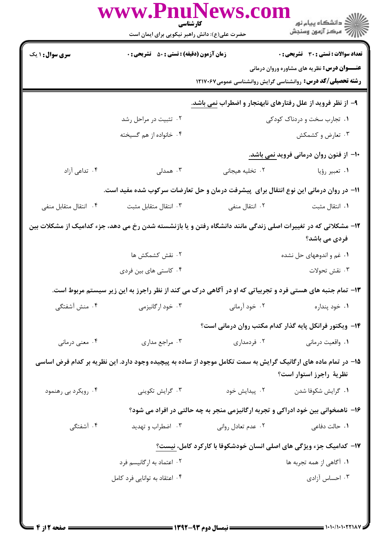|                                                                                                                                           | www.PnuNews.col<br>كارشناسي<br>حضرت علی(ع): دانش راهبر نیکویی برای ایمان است |                                                                                                          | الان دانشگاه پيام نور<br>الان مرکز آزمون وسنجش                    |  |
|-------------------------------------------------------------------------------------------------------------------------------------------|------------------------------------------------------------------------------|----------------------------------------------------------------------------------------------------------|-------------------------------------------------------------------|--|
| <b>سری سوال : ۱ یک</b>                                                                                                                    | <b>زمان آزمون (دقیقه) : تستی : 50 ٪ تشریحی : 0</b>                           |                                                                                                          | <b>تعداد سوالات : تستی : 30 ٪ تشریحی : 0</b>                      |  |
|                                                                                                                                           |                                                                              |                                                                                                          | <b>عنـــوان درس:</b> نظریه های مشاوره وروان درمانی                |  |
|                                                                                                                                           |                                                                              |                                                                                                          | <b>رشته تحصیلی/کد درس:</b> روانشناسی گرایش روانشناسی عمومی۱۲۱۷۰۶۷ |  |
|                                                                                                                                           |                                                                              | ۹- از نظر فروید از علل رفتارهای نابهنجار و اضطراب نمی باشد.                                              |                                                                   |  |
|                                                                                                                                           | ۰۲ تثبیت در مراحل رشد                                                        |                                                                                                          | ۰۱ تجارب سخت و دردناک کودکی                                       |  |
|                                                                                                                                           | ۰۴ خانواده از هم گسیخته                                                      |                                                                                                          | ۰۳ تعارض و کشمکش                                                  |  |
|                                                                                                                                           |                                                                              |                                                                                                          | ۱۰– از فنون روان درمانی فروید نمی باشد.                           |  |
| ۰۴ تداعی آزاد                                                                                                                             | ۰۳ همدلی                                                                     | ٢. تخليه هيجاني                                                                                          | ۰۱ تعبیر رؤیا                                                     |  |
| 11– در روان درمانی این نوع انتقال برای پیشرفت درمان و حل تعارضات سرکوب شده مفید است.                                                      |                                                                              |                                                                                                          |                                                                   |  |
| ۰۴ انتقال متقابل منفى                                                                                                                     | ۰۳ انتقال متقابل مثبت                                                        | ۰۲ انتقال منفی                                                                                           | ٠١ انتقال مثبت                                                    |  |
| ۱۲– مشکلاتی که در تغییرات اصلی زندگی مانند دانشگاه رفتن و یا بازنشسته شدن رخ می دهد، جزء کدامیک از مشکلات بین<br>فردی می باشد؟            |                                                                              |                                                                                                          |                                                                   |  |
|                                                                                                                                           | ۰۲ نقش کشمکش ها                                                              |                                                                                                          | ۰۱ غم و اندوههای حل نشده                                          |  |
|                                                                                                                                           | ۰۴ کاستی های بین فردی                                                        |                                                                                                          | ۰۳ نقش تحولات                                                     |  |
|                                                                                                                                           |                                                                              | ۱۳- تمام جنبه های هستی فرد و تجربیاتی که او در آگاهی درک می کند از نظر راجرز به این زیر سیستم مربوط است. |                                                                   |  |
| ۰۴ منش آشفتگی                                                                                                                             | ۰۳ خود ارگانیزمی                                                             | ۰۲ خود آرمانی                                                                                            | ۰۱ خود پنداره                                                     |  |
|                                                                                                                                           |                                                                              |                                                                                                          | ۱۴– ویکتور فرانکل پایه گذار کدام مکتب روان درمانی است؟            |  |
| ۰۴ معنی درمانی                                                                                                                            | ۰۳ مراجع مداری                                                               | ۰۲ فردمداری                                                                                              | ۰۱ واقعیت درمانی                                                  |  |
| ۱۵– در تمام ماده های ارگانیک گرایش به سمت تکامل موجود از ساده به پیچیده وجود دارد. این نظریه بر کدام فرض اساسی<br>نظرية راجرز استوار است؟ |                                                                              |                                                                                                          |                                                                   |  |
| ۰۴ رویکرد بی رهنمود                                                                                                                       | ۰۳ گرايش تكوينى                                                              | ۲. پیدایش خود                                                                                            | ۰۱ گرايش شكوفا شدن                                                |  |
|                                                                                                                                           |                                                                              | ۱۶– ناهمخوانی بین خود ادراکی و تجربه ارگانیزمی منجر به چه حالتی در افراد می شود؟                         |                                                                   |  |
| ۰۴ آشفتگی                                                                                                                                 | ۰۳ اضطراب و تهدید                                                            | ۰۲ عدم تعادل روانی                                                                                       | ۰۱ حالت دفاعی                                                     |  |
|                                                                                                                                           |                                                                              | ۱۷– کدامیک جزء ویژگی های اصلی انسان خودشکوفا با کارکرد کامل، نیست؟                                       |                                                                   |  |
|                                                                                                                                           | ۰۲ اعتماد به ارگانیسم فرد                                                    |                                                                                                          | ۰۱ آگاهی از همه تجربه ها                                          |  |
|                                                                                                                                           | ۰۴ اعتقاد به توانایی فرد کامل                                                |                                                                                                          | ۰۳ احساس آزادی                                                    |  |
|                                                                                                                                           |                                                                              |                                                                                                          |                                                                   |  |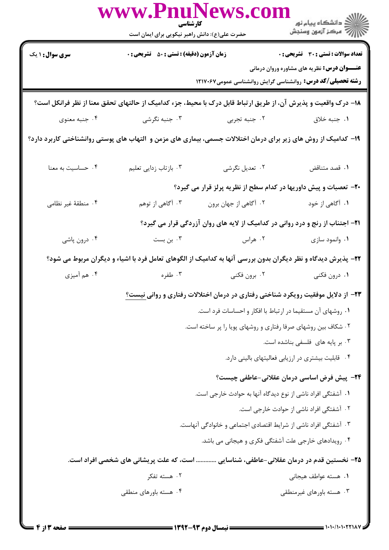|                                                                                                                 | www.PnuNews.col<br>كارشناسي<br>حضرت علی(ع): دانش راهبر نیکویی برای ایمان است |                                                                  | الار دانشگاه پيام نور<br>الارا مرکز آزمون وسنجش                                                              |  |
|-----------------------------------------------------------------------------------------------------------------|------------------------------------------------------------------------------|------------------------------------------------------------------|--------------------------------------------------------------------------------------------------------------|--|
| <b>سری سوال :</b> ۱ یک                                                                                          | <b>زمان آزمون (دقیقه) : تستی : 80 ٪ تشریحی : 0</b>                           |                                                                  | <b>تعداد سوالات : تستی : 30 ٪ تشریحی : 0</b><br><b>عنـــوان درس:</b> نظریه های مشاوره وروان درمانی           |  |
|                                                                                                                 |                                                                              |                                                                  | <b>رشته تحصیلی/کد درس:</b> روانشناسی گرایش روانشناسی عمومی1۲۱۷۰۶۷                                            |  |
| 1۸– درک واقعیت و پذیرش آن، از طریق ارتباط قابل درک با محیط، جزء کدامیک از حالتهای تحقق معنا از نظر فرانکل است؟  |                                                                              |                                                                  |                                                                                                              |  |
| ۰۴ جنبه معنوي                                                                                                   | ۰۳ جنبه نگرشی                                                                | ۰۲ جنبه تجربي                                                    | ٠١. جنبه خلاق                                                                                                |  |
| ۱۹– کدامیک از روش های زیر برای درمان اختلالات جسمی، بیماری های مزمن و  التهاب های پوستی روانشناختی کاربرد دارد؟ |                                                                              |                                                                  |                                                                                                              |  |
| ۰۴ حساسیت به معنا                                                                                               | ۰۳ بازتاب زدایی تعلیم                                                        | ۰۲ تعدیل نگرشی                                                   | ٠١ قصد متناقض                                                                                                |  |
|                                                                                                                 |                                                                              |                                                                  | +۲- تعصبات و پیش داوریها در کدام سطح از نظریه پرلز قرار می گیرد؟                                             |  |
| ۰۴ منطقهٔ غیر نظامی                                                                                             | ۰۳ آگاهی از توهم                                                             | ۰۲ آگاهي از جهان برون                                            | ۰۱ آگاهی از خود                                                                                              |  |
|                                                                                                                 |                                                                              |                                                                  | <b>۲۱</b> - اجتناب از رنج و درد روانی در کدامیک از لایه های روان آزردگی قرار می گیرد؟                        |  |
| ۰۴ درون پاشي                                                                                                    | ۰۳ بن بست                                                                    | ۰۲ هراس                                                          | ۰۱ وانمود سازی                                                                                               |  |
|                                                                                                                 |                                                                              |                                                                  | ۲۲- پذیرش دیدگاه و نظر دیگران بدون بررسی آنها به کدامیک از الگوهای تعامل فرد با اشیاء و دیگران مربوط می شود؟ |  |
| ۰۴ هم أميزي                                                                                                     | ۰۳ طفره                                                                      | ۰۲ برون فکنی                                                     | ۰۱ درون فکنی                                                                                                 |  |
|                                                                                                                 |                                                                              |                                                                  | ۲۳– از دلایل موفقیت رویکرد شناختی رفتاری در درمان اختلالات رفتاری و روانی نیست؟                              |  |
|                                                                                                                 |                                                                              | ٠١ روشهاى آن مستقيما در ارتباط با افكار و احساسات فرد است.       |                                                                                                              |  |
|                                                                                                                 | ۰۲ شکاف بین روشهای صرفا رفتاری و روشهای پویا را پر ساخته است.                |                                                                  |                                                                                                              |  |
|                                                                                                                 |                                                                              |                                                                  | ۰۳ بر پایه های فلسفی بناشده است.                                                                             |  |
|                                                                                                                 |                                                                              |                                                                  | ۰۴ قابلیت بیشتری در ارزیابی فعالیتهای بالینی دارد.                                                           |  |
|                                                                                                                 |                                                                              |                                                                  | ۲۴− پیش فرض اساسی درمان عقلانی-عاطفی چیست؟                                                                   |  |
|                                                                                                                 |                                                                              | ٠١. آشفتگي افراد ناشي از نوع ديدگاه آنها به حوادث خارجي است.     | ٢. آشفتگی افراد ناشی از حوادث خارجی است.                                                                     |  |
|                                                                                                                 |                                                                              | ۰۳ آشفتگی افراد ناشی از شرایط اقتصادی اجتماعی و خانوادگی آنهاست. |                                                                                                              |  |
|                                                                                                                 |                                                                              |                                                                  | ۰۴ رویدادهای خارجی علت آشفتگی فکری و هیجانی می باشد.                                                         |  |
|                                                                                                                 |                                                                              |                                                                  | ۲۵– نخستین قدم در درمان عقلانی-عاطفی، شناسایی  است، که علت پریشانی های شخصی افراد است.                       |  |
|                                                                                                                 | ۰۲ هسته تفکر                                                                 |                                                                  | ٠١. هسته عواطف هيجاني                                                                                        |  |
|                                                                                                                 | ۰۴ هسته باورهای منطقی                                                        |                                                                  | ۰۳ هسته باورهای غیرمنطقی                                                                                     |  |
|                                                                                                                 |                                                                              |                                                                  |                                                                                                              |  |